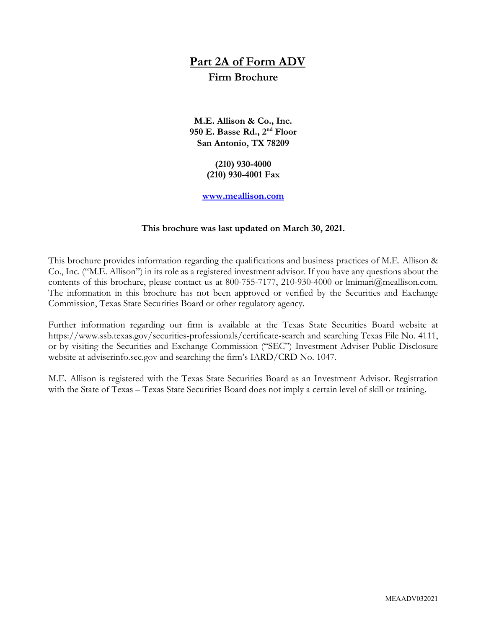# <span id="page-0-0"></span>**Part 2A of Form ADV**

# **Firm Brochure**

**M.E. Allison & Co., Inc. 950 E. Basse Rd., 2nd Floor San Antonio, TX 78209**

> **(210) 930-4000 (210) 930-4001 Fax**

**[www.meallison.com](http://www.meallison.com/)**

## **This brochure was last updated on March 30, 2021.**

This brochure provides information regarding the qualifications and business practices of M.E. Allison & Co., Inc. ("M.E. Allison") in its role as a registered investment advisor. If you have any questions about the contents of this brochure, please contact us at 800-755-7177, 210-930-4000 or lmimari@meallison.com. The information in this brochure has not been approved or verified by the Securities and Exchange Commission, Texas State Securities Board or other regulatory agency.

Further information regarding our firm is available at the Texas State Securities Board website at <https://www.ssb.texas.gov/securities-professionals/certificate-search> and searching Texas File No. 4111, or by visiting the Securities and Exchange Commission ("SEC") Investment Adviser Public Disclosure website at [adviserinfo.sec.gov](https://adviserinfo.sec.gov/) and searching the firm's IARD/CRD No. 1047.

M.E. Allison is registered with the Texas State Securities Board as an Investment Advisor. Registration with the State of Texas – Texas State Securities Board does not imply a certain level of skill or training.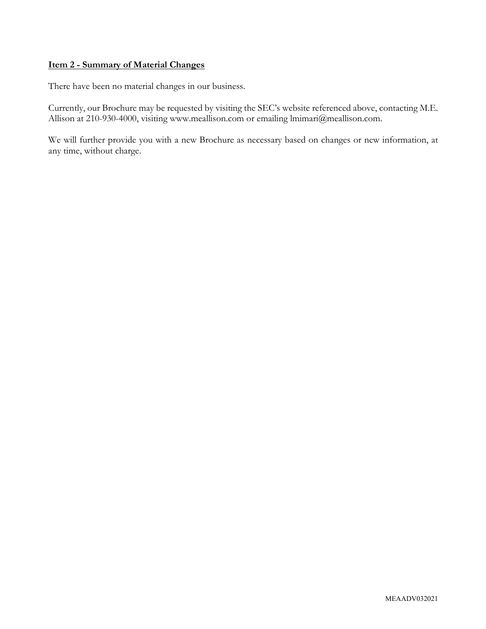# <span id="page-1-0"></span>**Item 2 - Summary of Material Changes**

There have been no material changes in our business.

Currently, our Brochure may be requested by visiting the SEC's website referenced above, contacting M.E. Allison at 210-930-4000, visiting [www.meallison.com](http://www.meallison.com/) or emailing [lmimari@meallison.com.](mailto:lmimari@meallison.com)

We will further provide you with a new Brochure as necessary based on changes or new information, at any time, without charge.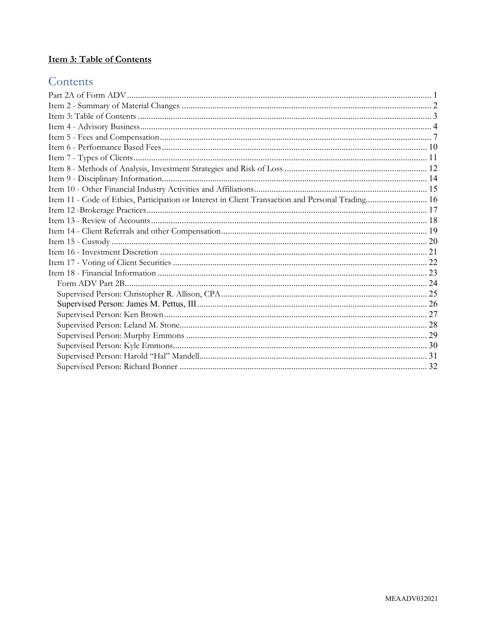# <span id="page-2-0"></span>**Item 3: Table of Contents**

# Contents

| Item 11 - Code of Ethics, Participation or Interest in Client Transaction and Personal Trading 16 |
|---------------------------------------------------------------------------------------------------|
|                                                                                                   |
|                                                                                                   |
|                                                                                                   |
|                                                                                                   |
|                                                                                                   |
|                                                                                                   |
|                                                                                                   |
|                                                                                                   |
|                                                                                                   |
|                                                                                                   |
|                                                                                                   |
|                                                                                                   |
|                                                                                                   |
|                                                                                                   |
|                                                                                                   |
|                                                                                                   |
|                                                                                                   |
|                                                                                                   |
|                                                                                                   |
|                                                                                                   |
|                                                                                                   |
|                                                                                                   |
|                                                                                                   |
|                                                                                                   |
|                                                                                                   |
|                                                                                                   |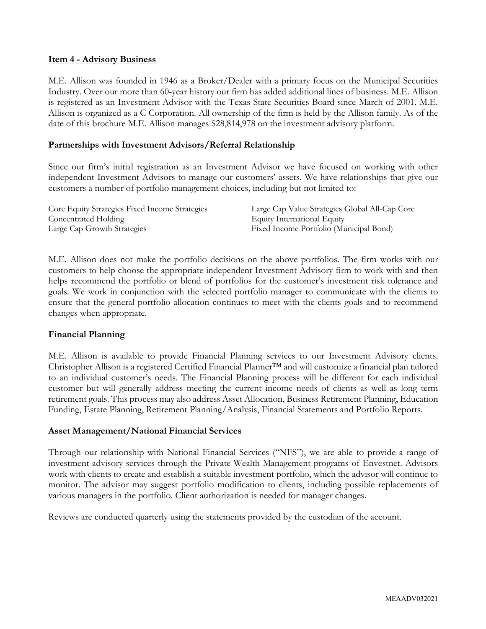# <span id="page-3-0"></span>**Item 4 - Advisory Business**

M.E. Allison was founded in 1946 as a Broker/Dealer with a primary focus on the Municipal Securities Industry. Over our more than 60-year history our firm has added additional lines of business. M.E. Allison is registered as an Investment Advisor with the Texas State Securities Board since March of 2001. M.E. Allison is organized as a C Corporation. All ownership of the firm is held by the Allison family. As of the date of this brochure M.E. Allison manages \$28,814,978 on the investment advisory platform.

### **Partnerships with Investment Advisors/Referral Relationship**

Since our firm's initial registration as an Investment Advisor we have focused on working with other independent Investment Advisors to manage our customers' assets. We have relationships that give our customers a number of portfolio management choices, including but not limited to:

| Core Equity Strategies Fixed Income Strategies | Large Cap Value Strategies Global All-Cap Core |
|------------------------------------------------|------------------------------------------------|
| Concentrated Holding                           | Equity International Equity                    |
| Large Cap Growth Strategies                    | Fixed Income Portfolio (Municipal Bond)        |

M.E. Allison does not make the portfolio decisions on the above portfolios. The firm works with our customers to help choose the appropriate independent Investment Advisory firm to work with and then helps recommend the portfolio or blend of portfolios for the customer's investment risk tolerance and goals. We work in conjunction with the selected portfolio manager to communicate with the clients to ensure that the general portfolio allocation continues to meet with the clients goals and to recommend changes when appropriate.

### **Financial Planning**

M.E. Allison is available to provide Financial Planning services to our Investment Advisory clients. Christopher Allison is a registered Certified Financial Planner™ and will customize a financial plan tailored to an individual customer's needs. The Financial Planning process will be different for each individual customer but will generally address meeting the current income needs of clients as well as long term retirement goals. This process may also address Asset Allocation, Business Retirement Planning, Education Funding, Estate Planning, Retirement Planning/Analysis, Financial Statements and Portfolio Reports.

### **Asset Management/National Financial Services**

Through our relationship with National Financial Services ("NFS"), we are able to provide a range of investment advisory services through the Private Wealth Management programs of Envestnet. Advisors work with clients to create and establish a suitable investment portfolio, which the advisor will continue to monitor. The advisor may suggest portfolio modification to clients, including possible replacements of various managers in the portfolio. Client authorization is needed for manager changes.

Reviews are conducted quarterly using the statements provided by the custodian of the account.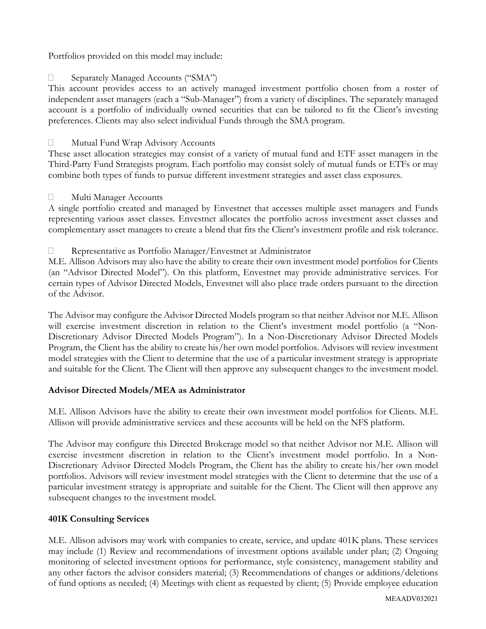Portfolios provided on this model may include:

Separately Managed Accounts ("SMA")

This account provides access to an actively managed investment portfolio chosen from a roster of independent asset managers (each a "Sub-Manager") from a variety of disciplines. The separately managed account is a portfolio of individually owned securities that can be tailored to fit the Client's investing preferences. Clients may also select individual Funds through the SMA program.

# □ Mutual Fund Wrap Advisory Accounts

These asset allocation strategies may consist of a variety of mutual fund and ETF asset managers in the Third-Party Fund Strategists program. Each portfolio may consist solely of mutual funds or ETFs or may combine both types of funds to pursue different investment strategies and asset class exposures.

# Multi Manager Accounts

A single portfolio created and managed by Envestnet that accesses multiple asset managers and Funds representing various asset classes. Envestnet allocates the portfolio across investment asset classes and complementary asset managers to create a blend that fits the Client's investment profile and risk tolerance.

# Representative as Portfolio Manager/Envestnet at Administrator

M.E. Allison Advisors may also have the ability to create their own investment model portfolios for Clients (an "Advisor Directed Model"). On this platform, Envestnet may provide administrative services. For certain types of Advisor Directed Models, Envestnet will also place trade orders pursuant to the direction of the Advisor.

The Advisor may configure the Advisor Directed Models program so that neither Advisor nor M.E. Allison will exercise investment discretion in relation to the Client's investment model portfolio (a "Non-Discretionary Advisor Directed Models Program"). In a Non-Discretionary Advisor Directed Models Program, the Client has the ability to create his/her own model portfolios. Advisors will review investment model strategies with the Client to determine that the use of a particular investment strategy is appropriate and suitable for the Client. The Client will then approve any subsequent changes to the investment model.

# **Advisor Directed Models/MEA as Administrator**

M.E. Allison Advisors have the ability to create their own investment model portfolios for Clients. M.E. Allison will provide administrative services and these accounts will be held on the NFS platform.

The Advisor may configure this Directed Brokerage model so that neither Advisor nor M.E. Allison will exercise investment discretion in relation to the Client's investment model portfolio. In a Non-Discretionary Advisor Directed Models Program, the Client has the ability to create his/her own model portfolios. Advisors will review investment model strategies with the Client to determine that the use of a particular investment strategy is appropriate and suitable for the Client. The Client will then approve any subsequent changes to the investment model.

# **401K Consulting Services**

M.E. Allison advisors may work with companies to create, service, and update 401K plans. These services may include (1) Review and recommendations of investment options available under plan; (2) Ongoing monitoring of selected investment options for performance, style consistency, management stability and any other factors the advisor considers material; (3) Recommendations of changes or additions/deletions of fund options as needed; (4) Meetings with client as requested by client; (5) Provide employee education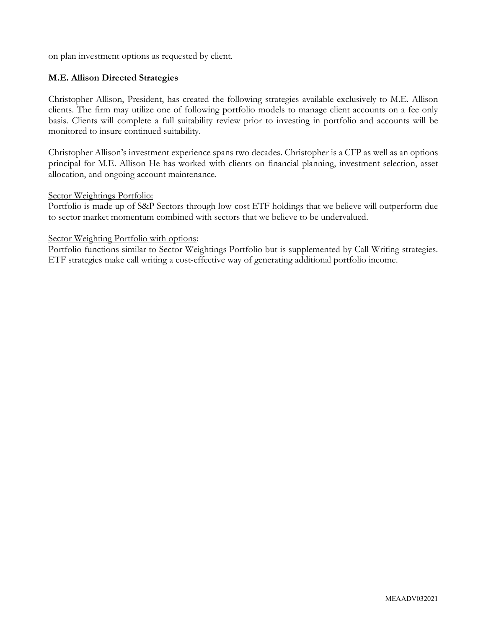on plan investment options as requested by client.

# **M.E. Allison Directed Strategies**

Christopher Allison, President, has created the following strategies available exclusively to M.E. Allison clients. The firm may utilize one of following portfolio models to manage client accounts on a fee only basis. Clients will complete a full suitability review prior to investing in portfolio and accounts will be monitored to insure continued suitability.

Christopher Allison's investment experience spans two decades. Christopher is a CFP as well as an options principal for M.E. Allison He has worked with clients on financial planning, investment selection, asset allocation, and ongoing account maintenance.

### Sector Weightings Portfolio:

Portfolio is made up of S&P Sectors through low-cost ETF holdings that we believe will outperform due to sector market momentum combined with sectors that we believe to be undervalued.

### Sector Weighting Portfolio with options:

Portfolio functions similar to Sector Weightings Portfolio but is supplemented by Call Writing strategies. ETF strategies make call writing a cost-effective way of generating additional portfolio income.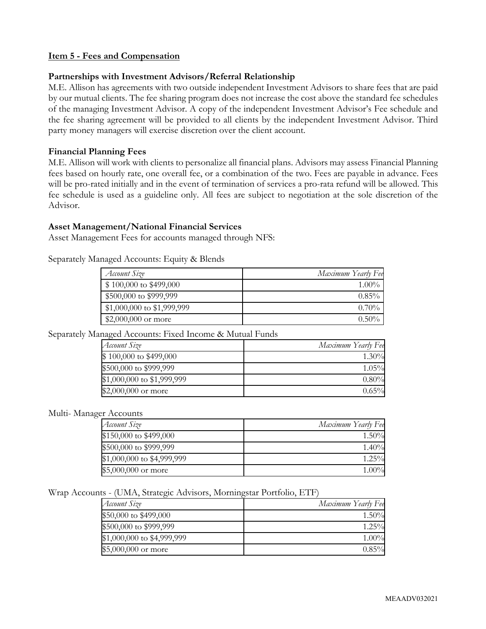## <span id="page-6-0"></span>**Item 5 - Fees and Compensation**

### **Partnerships with Investment Advisors/Referral Relationship**

M.E. Allison has agreements with two outside independent Investment Advisors to share fees that are paid by our mutual clients. The fee sharing program does not increase the cost above the standard fee schedules of the managing Investment Advisor. A copy of the independent Investment Advisor's Fee schedule and the fee sharing agreement will be provided to all clients by the independent Investment Advisor. Third party money managers will exercise discretion over the client account.

### **Financial Planning Fees**

M.E. Allison will work with clients to personalize all financial plans. Advisors may assess Financial Planning fees based on hourly rate, one overall fee, or a combination of the two. Fees are payable in advance. Fees will be pro-rated initially and in the event of termination of services a pro-rata refund will be allowed. This fee schedule is used as a guideline only. All fees are subject to negotiation at the sole discretion of the Advisor.

## **Asset Management/National Financial Services**

Asset Management Fees for accounts managed through NFS:

Separately Managed Accounts: Equity & Blends

| Account Size               | Maximum Yearly Fee |
|----------------------------|--------------------|
| \$100,000 to \$499,000     | $1.00\%$           |
| \$500,000 to \$999,999     | $0.85\%$           |
| \$1,000,000 to \$1,999,999 | $0.70\%$           |
| $$2,000,000$ or more       | $0.50\%$           |

Separately Managed Accounts: Fixed Income & Mutual Funds

| Account Size               | Maximum Yearly Fee |
|----------------------------|--------------------|
| \$100,000 to \$499,000     | $1.30\%$           |
| \$500,000 to \$999,999     | 1.05%              |
| \$1,000,000 to \$1,999,999 | 0.80%              |
| \$2,000,000 or more        | $0.65\%$           |

#### Multi- Manager Accounts

| Account Size               | Maximum Yearly Fee |
|----------------------------|--------------------|
| \$150,000 to \$499,000     | $1.50\%$           |
| \$500,000 to \$999,999     | $1.40\%$           |
| \$1,000,000 to \$4,999,999 | $1.25\%$           |
| \$5,000,000 or more        | $1.00\%$           |

Wrap Accounts - (UMA, Strategic Advisors, Morningstar Portfolio, ETF)

| Account Size               | Maximum Yearly Fee |
|----------------------------|--------------------|
| \$50,000 to \$499,000      | $1.50\%$           |
| \$500,000 to \$999,999     | $1.25\%$           |
| \$1,000,000 to \$4,999,999 | $1.00\%$           |
| \$5,000,000 or more        | 0.85%              |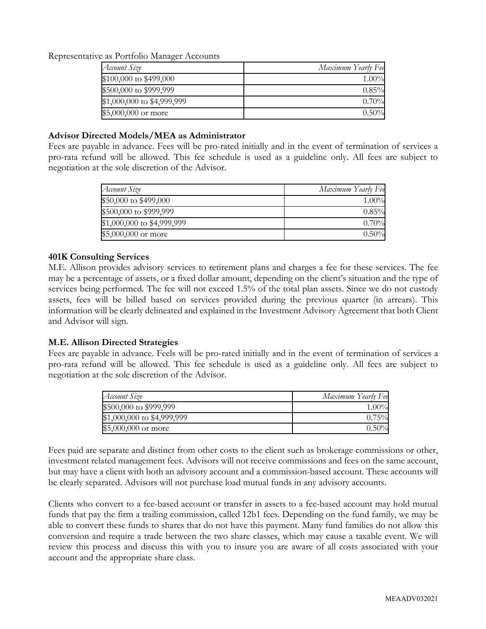### Representative as Portfolio Manager Accounts

| Account Size               | Maximum Yearly Fee |
|----------------------------|--------------------|
| \$100,000 to \$499,000     | $1.00\%$           |
| \$500,000 to \$999,999     | $0.85\%$           |
| \$1,000,000 to \$4,999,999 | $0.70\%$           |
| \$5,000,000 or more        | $0.50\%$           |

# **Advisor Directed Models/MEA as Administrator**

Fees are payable in advance. Fees will be pro-rated initially and in the event of termination of services a pro-rata refund will be allowed. This fee schedule is used as a guideline only. All fees are subject to negotiation at the sole discretion of the Advisor.

| Account Size               | Maximum Yearly Fee |
|----------------------------|--------------------|
| \$50,000 to \$499,000      | $1.00\%$           |
| \$500,000 to \$999,999     | $0.85\%$           |
| \$1,000,000 to \$4,999,999 | 0.70%              |
| \$5,000,000 or more        | $0.50\%$           |

## **401K Consulting Services**

M.E. Allison provides advisory services to retirement plans and charges a fee for these services. The fee may be a percentage of assets, or a fixed dollar amount, depending on the client's situation and the type of services being performed. The fee will not exceed 1.5% of the total plan assets. Since we do not custody assets, fees will be billed based on services provided during the previous quarter (in arrears). This information will be clearly delineated and explained in the Investment Advisory Agreement that both Client and Advisor will sign.

### **M.E. Allison Directed Strategies**

Fees are payable in advance. Feels will be pro-rated initially and in the event of termination of services a pro-rata refund will be allowed. This fee schedule is used as a guideline only. All fees are subject to negotiation at the sole discretion of the Advisor.

| Account Size               | Maximum Yearly Fee |
|----------------------------|--------------------|
| \$500,000 to \$999,999     | $1.00\%$           |
| \$1,000,000 to \$4,999,999 | $0.75\%$           |
| $$5,000,000$ or more       | $0.50\%$           |

Fees paid are separate and distinct from other costs to the client such as brokerage commissions or other, investment related management fees. Advisors will not receive commissions and fees on the same account, but may have a client with both an advisory account and a commission-based account. These accounts will be clearly separated. Advisors will not purchase load mutual funds in any advisory accounts.

Clients who convert to a fee-based account or transfer in assets to a fee-based account may hold mutual funds that pay the firm a trailing commission, called 12b1 fees. Depending on the fund family, we may be able to convert these funds to shares that do not have this payment. Many fund families do not allow this conversion and require a trade between the two share classes, which may cause a taxable event. We will review this process and discuss this with you to insure you are aware of all costs associated with your account and the appropriate share class.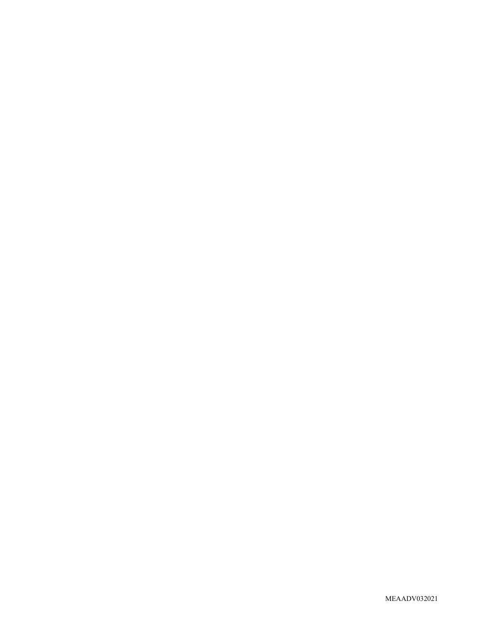MEAADV032021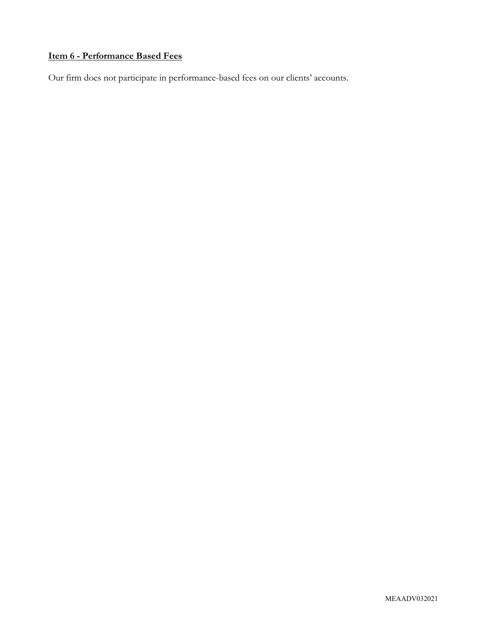# <span id="page-9-0"></span>**Item 6 - Performance Based Fees**

Our firm does not participate in performance-based fees on our clients' accounts.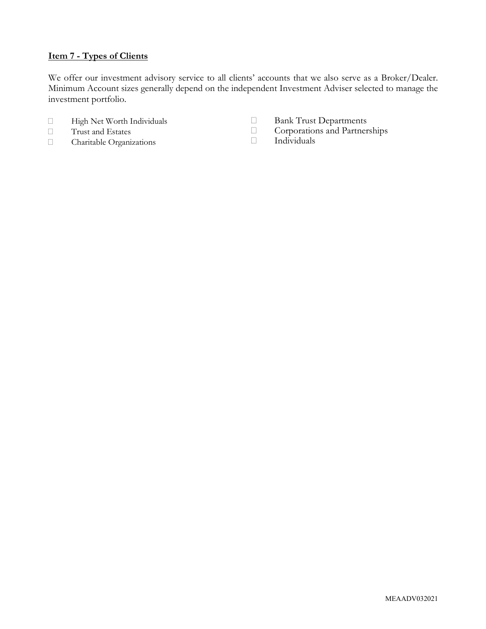# <span id="page-10-0"></span>**Item 7 - Types of Clients**

We offer our investment advisory service to all clients' accounts that we also serve as a Broker/Dealer. Minimum Account sizes generally depend on the independent Investment Adviser selected to manage the investment portfolio.

- High Net Worth Individuals
- Trust and Estates
- Charitable Organizations
- **Bank Trust Departments**
- Corporations and Partnerships
- $\Box$  Individuals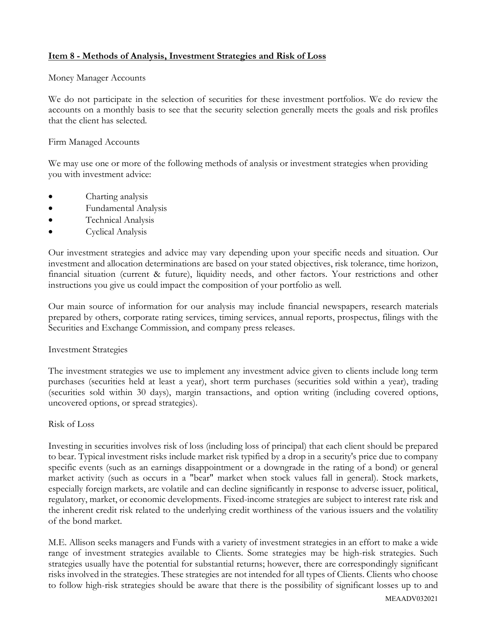# <span id="page-11-0"></span>**Item 8 - Methods of Analysis, Investment Strategies and Risk of Loss**

### Money Manager Accounts

We do not participate in the selection of securities for these investment portfolios. We do review the accounts on a monthly basis to see that the security selection generally meets the goals and risk profiles that the client has selected.

# Firm Managed Accounts

We may use one or more of the following methods of analysis or investment strategies when providing you with investment advice:

- Charting analysis
- Fundamental Analysis
- Technical Analysis
- Cyclical Analysis

Our investment strategies and advice may vary depending upon your specific needs and situation. Our investment and allocation determinations are based on your stated objectives, risk tolerance, time horizon, financial situation (current & future), liquidity needs, and other factors. Your restrictions and other instructions you give us could impact the composition of your portfolio as well.

Our main source of information for our analysis may include financial newspapers, research materials prepared by others, corporate rating services, timing services, annual reports, prospectus, filings with the Securities and Exchange Commission, and company press releases.

# Investment Strategies

The investment strategies we use to implement any investment advice given to clients include long term purchases (securities held at least a year), short term purchases (securities sold within a year), trading (securities sold within 30 days), margin transactions, and option writing (including covered options, uncovered options, or spread strategies).

### Risk of Loss

Investing in securities involves risk of loss (including loss of principal) that each client should be prepared to bear. Typical investment risks include market risk typified by a drop in a security's price due to company specific events (such as an earnings disappointment or a downgrade in the rating of a bond) or general market activity (such as occurs in a "bear" market when stock values fall in general). Stock markets, especially foreign markets, are volatile and can decline significantly in response to adverse issuer, political, regulatory, market, or economic developments. Fixed-income strategies are subject to interest rate risk and the inherent credit risk related to the underlying credit worthiness of the various issuers and the volatility of the bond market.

M.E. Allison seeks managers and Funds with a variety of investment strategies in an effort to make a wide range of investment strategies available to Clients. Some strategies may be high-risk strategies. Such strategies usually have the potential for substantial returns; however, there are correspondingly significant risks involved in the strategies. These strategies are not intended for all types of Clients. Clients who choose to follow high-risk strategies should be aware that there is the possibility of significant losses up to and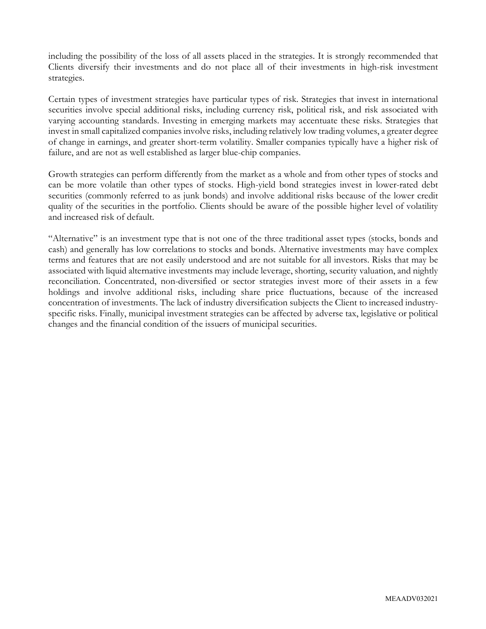including the possibility of the loss of all assets placed in the strategies. It is strongly recommended that Clients diversify their investments and do not place all of their investments in high-risk investment strategies.

Certain types of investment strategies have particular types of risk. Strategies that invest in international securities involve special additional risks, including currency risk, political risk, and risk associated with varying accounting standards. Investing in emerging markets may accentuate these risks. Strategies that invest in small capitalized companies involve risks, including relatively low trading volumes, a greater degree of change in earnings, and greater short-term volatility. Smaller companies typically have a higher risk of failure, and are not as well established as larger blue-chip companies.

Growth strategies can perform differently from the market as a whole and from other types of stocks and can be more volatile than other types of stocks. High-yield bond strategies invest in lower-rated debt securities (commonly referred to as junk bonds) and involve additional risks because of the lower credit quality of the securities in the portfolio. Clients should be aware of the possible higher level of volatility and increased risk of default.

"Alternative" is an investment type that is not one of the three traditional asset types (stocks, bonds and cash) and generally has low correlations to stocks and bonds. Alternative investments may have complex terms and features that are not easily understood and are not suitable for all investors. Risks that may be associated with liquid alternative investments may include leverage, shorting, security valuation, and nightly reconciliation. Concentrated, non-diversified or sector strategies invest more of their assets in a few holdings and involve additional risks, including share price fluctuations, because of the increased concentration of investments. The lack of industry diversification subjects the Client to increased industryspecific risks. Finally, municipal investment strategies can be affected by adverse tax, legislative or political changes and the financial condition of the issuers of municipal securities.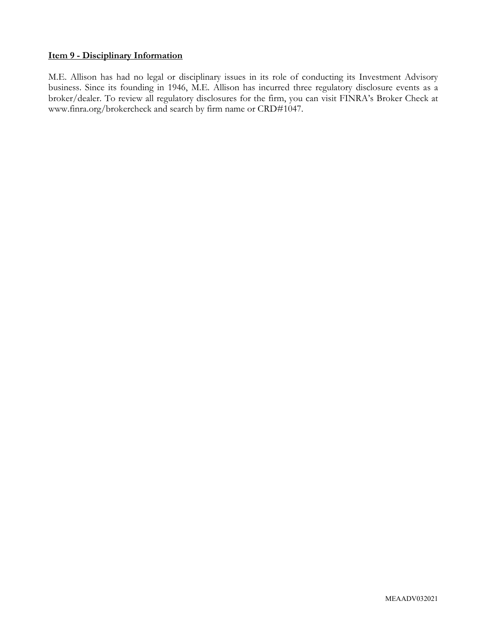# <span id="page-13-0"></span>**Item 9 - Disciplinary Information**

M.E. Allison has had no legal or disciplinary issues in its role of conducting its Investment Advisory business. Since its founding in 1946, M.E. Allison has incurred three regulatory disclosure events as a broker/dealer. To review all regulatory disclosures for the firm, you can visit FINRA's Broker Check at [www.finra.org/brokercheck a](http://www.finra.org/brokercheck)nd search by firm name or CRD#1047.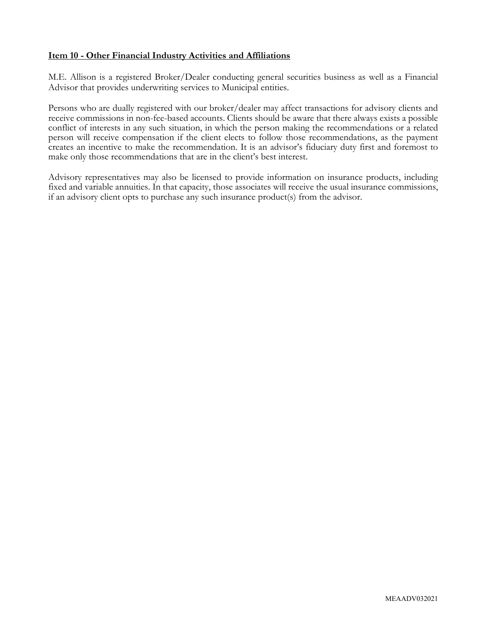# <span id="page-14-0"></span>**Item 10 - Other Financial Industry Activities and Affiliations**

M.E. Allison is a registered Broker/Dealer conducting general securities business as well as a Financial Advisor that provides underwriting services to Municipal entities.

Persons who are dually registered with our broker/dealer may affect transactions for advisory clients and receive commissions in non-fee-based accounts. Clients should be aware that there always exists a possible conflict of interests in any such situation, in which the person making the recommendations or a related person will receive compensation if the client elects to follow those recommendations, as the payment creates an incentive to make the recommendation. It is an advisor's fiduciary duty first and foremost to make only those recommendations that are in the client's best interest.

Advisory representatives may also be licensed to provide information on insurance products, including fixed and variable annuities. In that capacity, those associates will receive the usual insurance commissions, if an advisory client opts to purchase any such insurance product(s) from the advisor.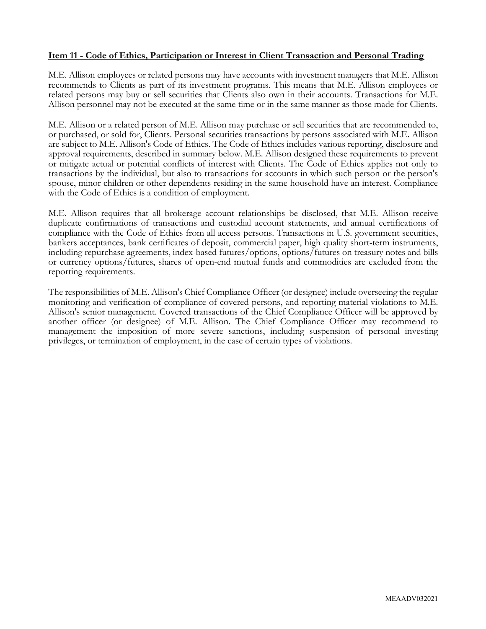# <span id="page-15-0"></span>**Item 11 - Code of Ethics, Participation or Interest in Client Transaction and Personal Trading**

M.E. Allison employees or related persons may have accounts with investment managers that M.E. Allison recommends to Clients as part of its investment programs. This means that M.E. Allison employees or related persons may buy or sell securities that Clients also own in their accounts. Transactions for M.E. Allison personnel may not be executed at the same time or in the same manner as those made for Clients.

M.E. Allison or a related person of M.E. Allison may purchase or sell securities that are recommended to, or purchased, or sold for, Clients. Personal securities transactions by persons associated with M.E. Allison are subject to M.E. Allison's Code of Ethics. The Code of Ethics includes various reporting, disclosure and approval requirements, described in summary below. M.E. Allison designed these requirements to prevent or mitigate actual or potential conflicts of interest with Clients. The Code of Ethics applies not only to transactions by the individual, but also to transactions for accounts in which such person or the person's spouse, minor children or other dependents residing in the same household have an interest. Compliance with the Code of Ethics is a condition of employment.

M.E. Allison requires that all brokerage account relationships be disclosed, that M.E. Allison receive duplicate confirmations of transactions and custodial account statements, and annual certifications of compliance with the Code of Ethics from all access persons. Transactions in U.S. government securities, bankers acceptances, bank certificates of deposit, commercial paper, high quality short-term instruments, including repurchase agreements, index-based futures/options, options/futures on treasury notes and bills or currency options/futures, shares of open-end mutual funds and commodities are excluded from the reporting requirements.

The responsibilities of M.E. Allison's Chief Compliance Officer (or designee) include overseeing the regular monitoring and verification of compliance of covered persons, and reporting material violations to M.E. Allison's senior management. Covered transactions of the Chief Compliance Officer will be approved by another officer (or designee) of M.E. Allison. The Chief Compliance Officer may recommend to management the imposition of more severe sanctions, including suspension of personal investing privileges, or termination of employment, in the case of certain types of violations.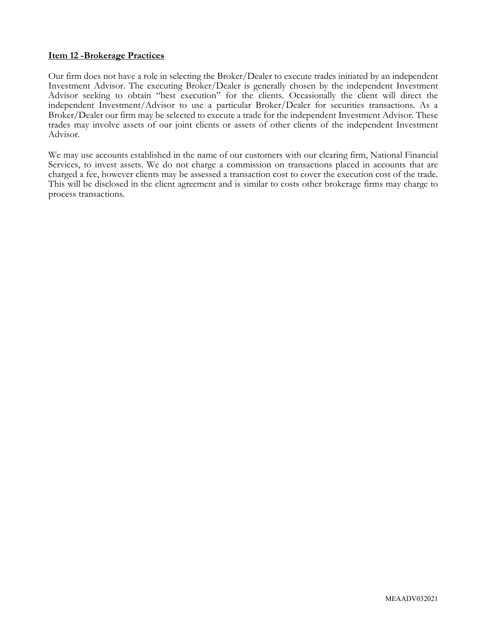# <span id="page-16-0"></span>**Item 12 -Brokerage Practices**

Our firm does not have a role in selecting the Broker/Dealer to execute trades initiated by an independent Investment Advisor. The executing Broker/Dealer is generally chosen by the independent Investment Advisor seeking to obtain "best execution" for the clients. Occasionally the client will direct the independent Investment/Advisor to use a particular Broker/Dealer for securities transactions. As a Broker/Dealer our firm may be selected to execute a trade for the independent Investment Advisor. These trades may involve assets of our joint clients or assets of other clients of the independent Investment Advisor.

We may use accounts established in the name of our customers with our clearing firm, National Financial Services, to invest assets. We do not charge a commission on transactions placed in accounts that are charged a fee, however clients may be assessed a transaction cost to cover the execution cost of the trade. This will be disclosed in the client agreement and is similar to costs other brokerage firms may charge to process transactions.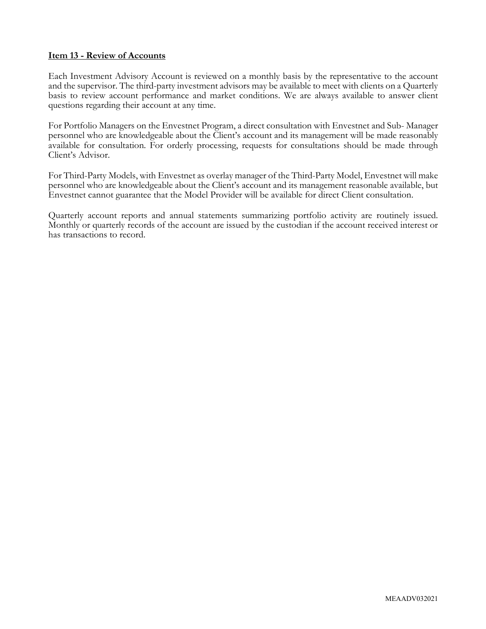# <span id="page-17-0"></span>**Item 13 - Review of Accounts**

Each Investment Advisory Account is reviewed on a monthly basis by the representative to the account and the supervisor. The third-party investment advisors may be available to meet with clients on a Quarterly basis to review account performance and market conditions. We are always available to answer client questions regarding their account at any time.

For Portfolio Managers on the Envestnet Program, a direct consultation with Envestnet and Sub- Manager personnel who are knowledgeable about the Client's account and its management will be made reasonably available for consultation. For orderly processing, requests for consultations should be made through Client's Advisor.

For Third-Party Models, with Envestnet as overlay manager of the Third-Party Model, Envestnet will make personnel who are knowledgeable about the Client's account and its management reasonable available, but Envestnet cannot guarantee that the Model Provider will be available for direct Client consultation.

Quarterly account reports and annual statements summarizing portfolio activity are routinely issued. Monthly or quarterly records of the account are issued by the custodian if the account received interest or has transactions to record.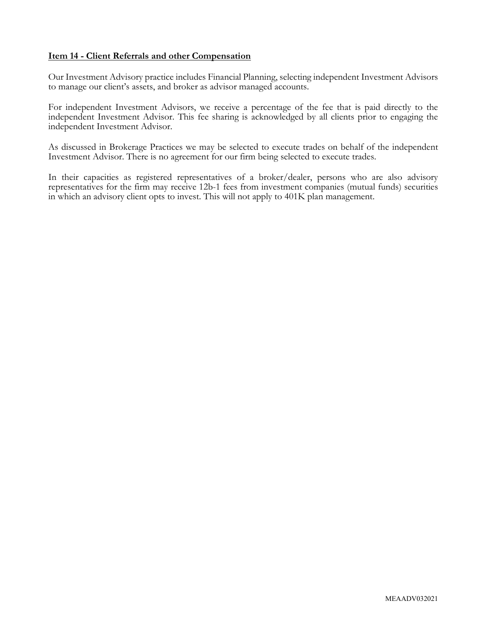### <span id="page-18-0"></span>**Item 14 - Client Referrals and other Compensation**

Our Investment Advisory practice includes Financial Planning, selecting independent Investment Advisors to manage our client's assets, and broker as advisor managed accounts.

For independent Investment Advisors, we receive a percentage of the fee that is paid directly to the independent Investment Advisor. This fee sharing is acknowledged by all clients prior to engaging the independent Investment Advisor.

As discussed in Brokerage Practices we may be selected to execute trades on behalf of the independent Investment Advisor. There is no agreement for our firm being selected to execute trades.

In their capacities as registered representatives of a broker/dealer, persons who are also advisory representatives for the firm may receive 12b-1 fees from investment companies (mutual funds) securities in which an advisory client opts to invest. This will not apply to 401K plan management.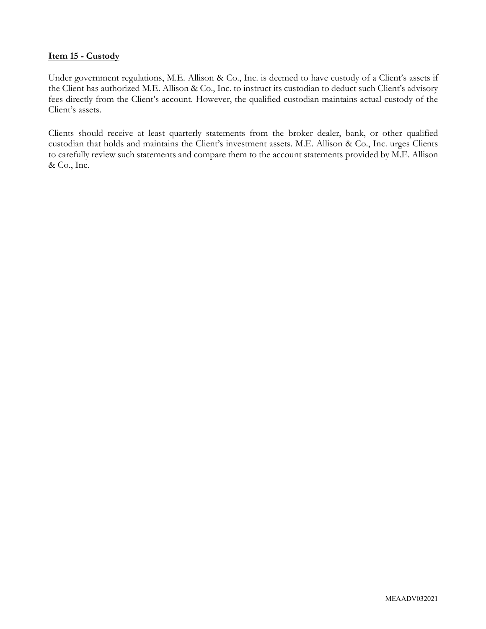# <span id="page-19-0"></span>**Item 15 - Custody**

Under government regulations, M.E. Allison & Co., Inc. is deemed to have custody of a Client's assets if the Client has authorized M.E. Allison & Co., Inc. to instruct its custodian to deduct such Client's advisory fees directly from the Client's account. However, the qualified custodian maintains actual custody of the Client's assets.

Clients should receive at least quarterly statements from the broker dealer, bank, or other qualified custodian that holds and maintains the Client's investment assets. M.E. Allison & Co., Inc. urges Clients to carefully review such statements and compare them to the account statements provided by M.E. Allison & Co., Inc.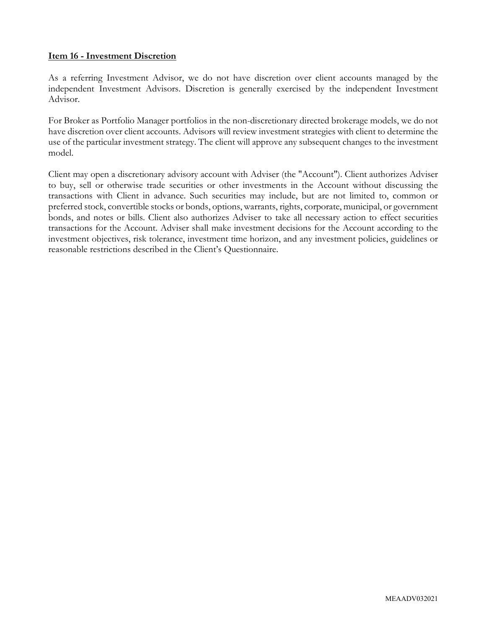# <span id="page-20-0"></span>**Item 16 - Investment Discretion**

As a referring Investment Advisor, we do not have discretion over client accounts managed by the independent Investment Advisors. Discretion is generally exercised by the independent Investment Advisor.

For Broker as Portfolio Manager portfolios in the non-discretionary directed brokerage models, we do not have discretion over client accounts. Advisors will review investment strategies with client to determine the use of the particular investment strategy. The client will approve any subsequent changes to the investment model.

Client may open a discretionary advisory account with Adviser (the "Account"). Client authorizes Adviser to buy, sell or otherwise trade securities or other investments in the Account without discussing the transactions with Client in advance. Such securities may include, but are not limited to, common or preferred stock, convertible stocks or bonds, options, warrants, rights, corporate, municipal, or government bonds, and notes or bills. Client also authorizes Adviser to take all necessary action to effect securities transactions for the Account. Adviser shall make investment decisions for the Account according to the investment objectives, risk tolerance, investment time horizon, and any investment policies, guidelines or reasonable restrictions described in the Client's Questionnaire.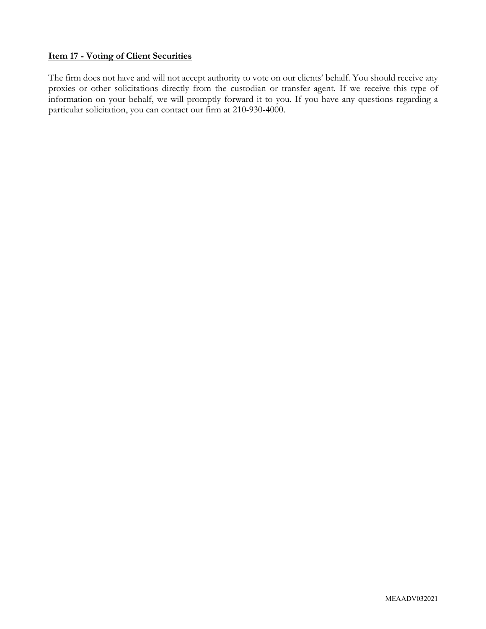# <span id="page-21-0"></span>**Item 17 - Voting of Client Securities**

The firm does not have and will not accept authority to vote on our clients' behalf. You should receive any proxies or other solicitations directly from the custodian or transfer agent. If we receive this type of information on your behalf, we will promptly forward it to you. If you have any questions regarding a particular solicitation, you can contact our firm at 210-930-4000.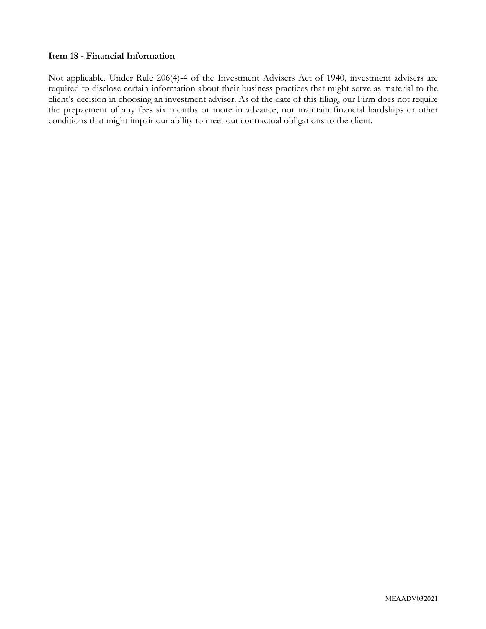## <span id="page-22-0"></span>**Item 18 - Financial Information**

Not applicable. Under Rule 206(4)-4 of the Investment Advisers Act of 1940, investment advisers are required to disclose certain information about their business practices that might serve as material to the client's decision in choosing an investment adviser. As of the date of this filing, our Firm does not require the prepayment of any fees six months or more in advance, nor maintain financial hardships or other conditions that might impair our ability to meet out contractual obligations to the client.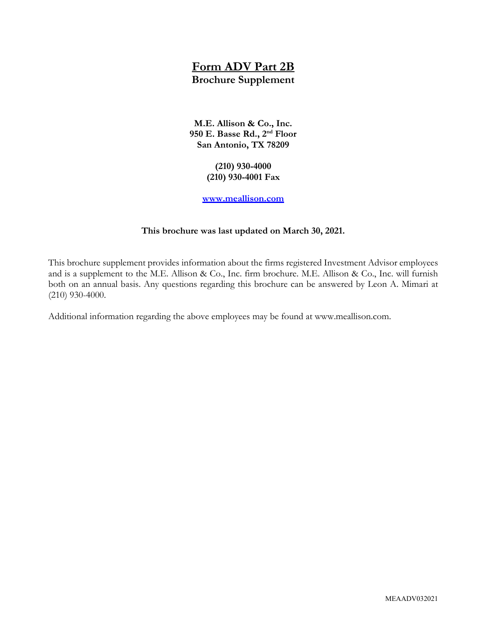# <span id="page-23-0"></span>**Form ADV Part 2B Brochure Supplement**

**M.E. Allison & Co., Inc. 950 E. Basse Rd., 2nd Floor San Antonio, TX 78209**

> **(210) 930-4000 (210) 930-4001 Fax**

**[www.meallison.com](http://www.meallison.com/)**

## **This brochure was last updated on March 30, 2021.**

This brochure supplement provides information about the firms registered Investment Advisor employees and is a supplement to the M.E. Allison & Co., Inc. firm brochure. M.E. Allison & Co., Inc. will furnish both on an annual basis. Any questions regarding this brochure can be answered by Leon A. Mimari at (210) 930-4000.

Additional information regarding the above employees may be found at [www.meallison.com.](http://www.meallison.com/)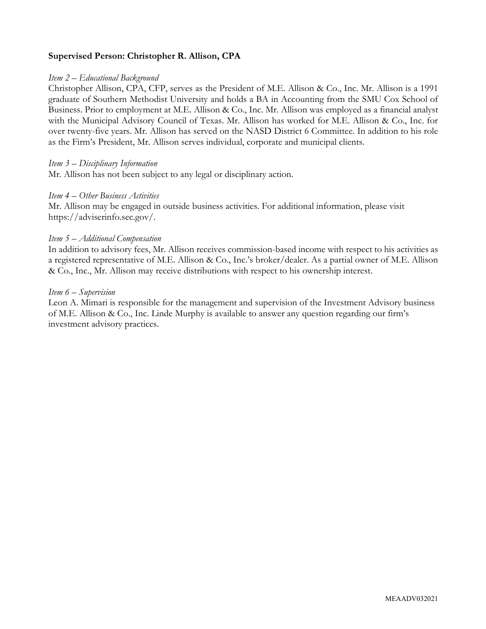# <span id="page-24-0"></span>**Supervised Person: Christopher R. Allison, CPA**

#### *Item 2 – Educational Background*

Christopher Allison, CPA, CFP, serves as the President of M.E. Allison & Co., Inc. Mr. Allison is a 1991 graduate of Southern Methodist University and holds a BA in Accounting from the SMU Cox School of Business. Prior to employment at M.E. Allison & Co., Inc. Mr. Allison was employed as a financial analyst with the Municipal Advisory Council of Texas. Mr. Allison has worked for M.E. Allison & Co., Inc. for over twenty-five years. Mr. Allison has served on the NASD District 6 Committee. In addition to his role as the Firm's President, Mr. Allison serves individual, corporate and municipal clients.

#### *Item 3 – Disciplinary Information*

Mr. Allison has not been subject to any legal or disciplinary action.

#### *Item 4 – Other Business Activities*

Mr. Allison may be engaged in outside business activities. For additional information, please visit https://adviserinfo.sec.gov/.

#### *Item 5 – Additional Compensation*

In addition to advisory fees, Mr. Allison receives commission-based income with respect to his activities as a registered representative of M.E. Allison & Co., Inc.'s broker/dealer. As a partial owner of M.E. Allison & Co., Inc., Mr. Allison may receive distributions with respect to his ownership interest.

#### *Item 6 – Supervision*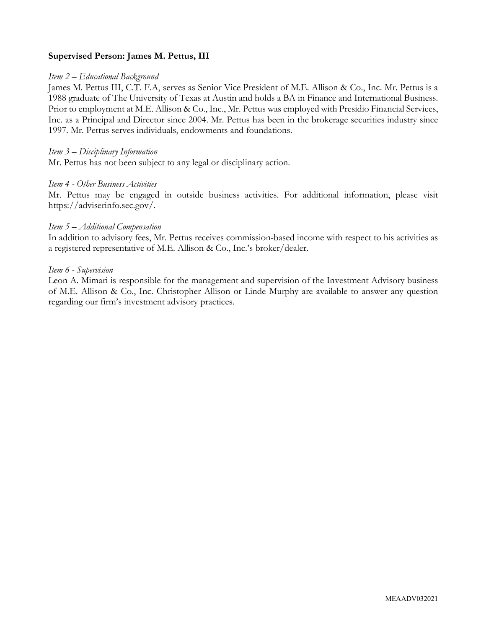# <span id="page-25-0"></span>**Supervised Person: James M. Pettus, III**

#### *Item 2 – Educational Background*

James M. Pettus III, C.T. F.A, serves as Senior Vice President of M.E. Allison & Co., Inc. Mr. Pettus is a 1988 graduate of The University of Texas at Austin and holds a BA in Finance and International Business. Prior to employment at M.E. Allison & Co., Inc., Mr. Pettus was employed with Presidio Financial Services, Inc. as a Principal and Director since 2004. Mr. Pettus has been in the brokerage securities industry since 1997. Mr. Pettus serves individuals, endowments and foundations.

#### *Item 3 – Disciplinary Information*

Mr. Pettus has not been subject to any legal or disciplinary action.

#### *Item 4 - Other Business Activities*

Mr. Pettus may be engaged in outside business activities. For additional information, please visit https://adviserinfo.sec.gov/.

#### *Item 5 – Additional Compensation*

In addition to advisory fees, Mr. Pettus receives commission-based income with respect to his activities as a registered representative of M.E. Allison & Co., Inc.'s broker/dealer.

#### *Item 6 - Supervision*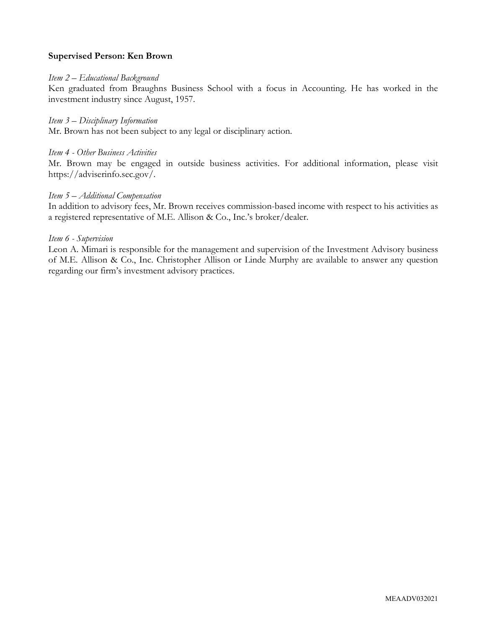# <span id="page-26-0"></span>**Supervised Person: Ken Brown**

#### *Item 2 – Educational Background*

Ken graduated from Braughns Business School with a focus in Accounting. He has worked in the investment industry since August, 1957.

#### *Item 3 – Disciplinary Information*

Mr. Brown has not been subject to any legal or disciplinary action.

#### *Item 4 - Other Business Activities*

Mr. Brown may be engaged in outside business activities. For additional information, please visit https://adviserinfo.sec.gov/.

### *Item 5 – Additional Compensation*

In addition to advisory fees, Mr. Brown receives commission-based income with respect to his activities as a registered representative of M.E. Allison & Co., Inc.'s broker/dealer.

#### *Item 6 - Supervision*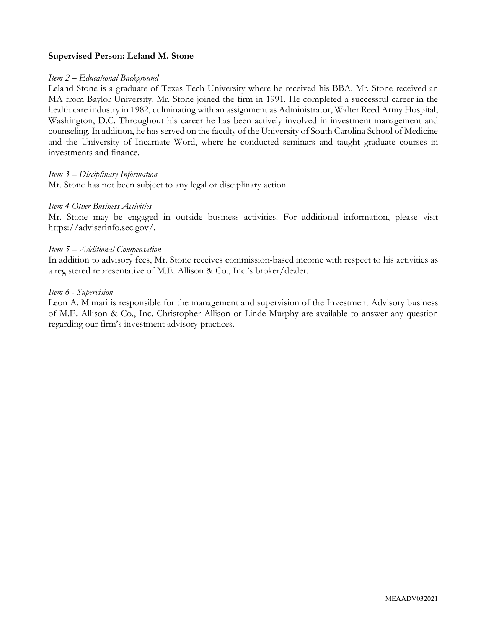## <span id="page-27-0"></span>**Supervised Person: Leland M. Stone**

#### *Item 2 – Educational Background*

Leland Stone is a graduate of Texas Tech University where he received his BBA. Mr. Stone received an MA from Baylor University. Mr. Stone joined the firm in 1991. He completed a successful career in the health care industry in 1982, culminating with an assignment as Administrator, Walter Reed Army Hospital, Washington, D.C. Throughout his career he has been actively involved in investment management and counseling. In addition, he has served on the faculty of the University of South Carolina School of Medicine and the University of Incarnate Word, where he conducted seminars and taught graduate courses in investments and finance.

#### *Item 3 – Disciplinary Information*

Mr. Stone has not been subject to any legal or disciplinary action

#### *Item 4 Other Business Activities*

Mr. Stone may be engaged in outside business activities. For additional information, please visit [https://adviserinfo.sec.gov/.](https://adviserinfo.sec.gov/)

#### *Item 5 – Additional Compensation*

In addition to advisory fees, Mr. Stone receives commission-based income with respect to his activities as a registered representative of M.E. Allison & Co., Inc.'s broker/dealer.

#### *Item 6 - Supervision*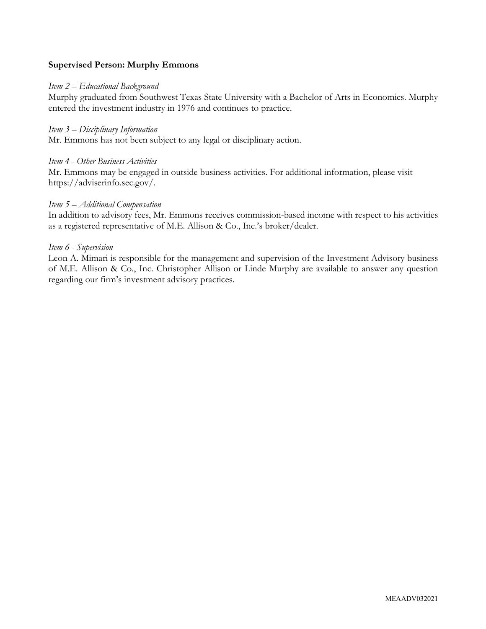# <span id="page-28-0"></span>**Supervised Person: Murphy Emmons**

#### *Item 2 – Educational Background*

Murphy graduated from Southwest Texas State University with a Bachelor of Arts in Economics. Murphy entered the investment industry in 1976 and continues to practice.

#### *Item 3 – Disciplinary Information*

Mr. Emmons has not been subject to any legal or disciplinary action.

### *Item 4 - Other Business Activities*

Mr. Emmons may be engaged in outside business activities. For additional information, please visit https://adviserinfo.sec.gov/.

#### *Item 5 – Additional Compensation*

In addition to advisory fees, Mr. Emmons receives commission-based income with respect to his activities as a registered representative of M.E. Allison & Co., Inc.'s broker/dealer.

#### *Item 6 - Supervision*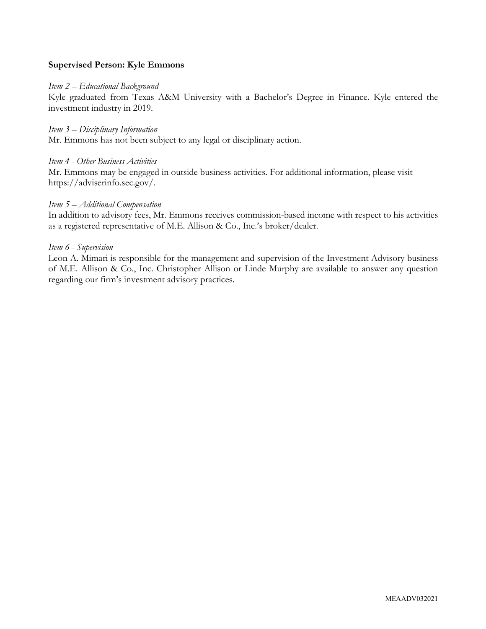# <span id="page-29-0"></span>**Supervised Person: Kyle Emmons**

#### *Item 2 – Educational Background*

Kyle graduated from Texas A&M University with a Bachelor's Degree in Finance. Kyle entered the investment industry in 2019.

#### *Item 3 – Disciplinary Information*

Mr. Emmons has not been subject to any legal or disciplinary action.

### *Item 4 - Other Business Activities*

Mr. Emmons may be engaged in outside business activities. For additional information, please visit https://adviserinfo.sec.gov/.

#### *Item 5 – Additional Compensation*

In addition to advisory fees, Mr. Emmons receives commission-based income with respect to his activities as a registered representative of M.E. Allison & Co., Inc.'s broker/dealer.

#### *Item 6 - Supervision*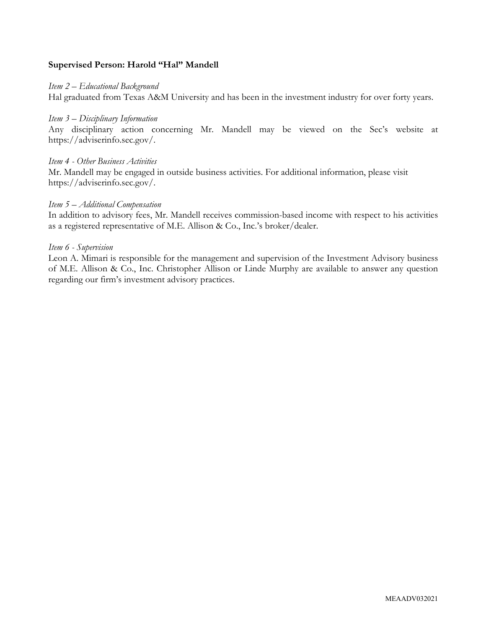# <span id="page-30-0"></span>**Supervised Person: Harold "Hal" Mandell**

#### *Item 2 – Educational Background*

Hal graduated from Texas A&M University and has been in the investment industry for over forty years.

#### *Item 3 – Disciplinary Information*

Any disciplinary action concerning Mr. Mandell may be viewed on the Sec's website at https://adviserinfo.sec.gov/.

### *Item 4 - Other Business Activities*

Mr. Mandell may be engaged in outside business activities. For additional information, please visit https://adviserinfo.sec.gov/.

### *Item 5 – Additional Compensation*

In addition to advisory fees, Mr. Mandell receives commission-based income with respect to his activities as a registered representative of M.E. Allison & Co., Inc.'s broker/dealer.

### *Item 6 - Supervision*